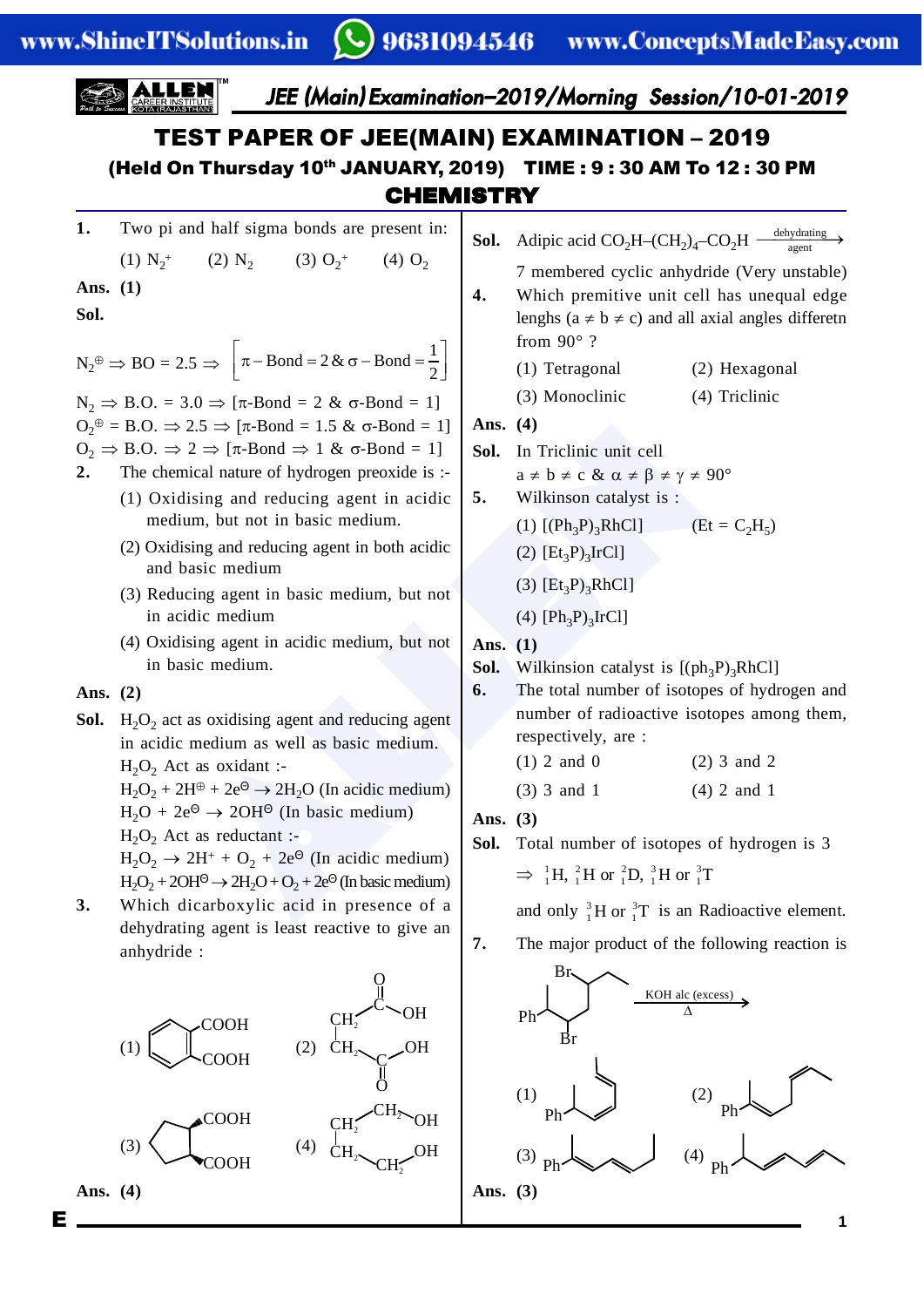$E =$ 

 $\mathbf{1}$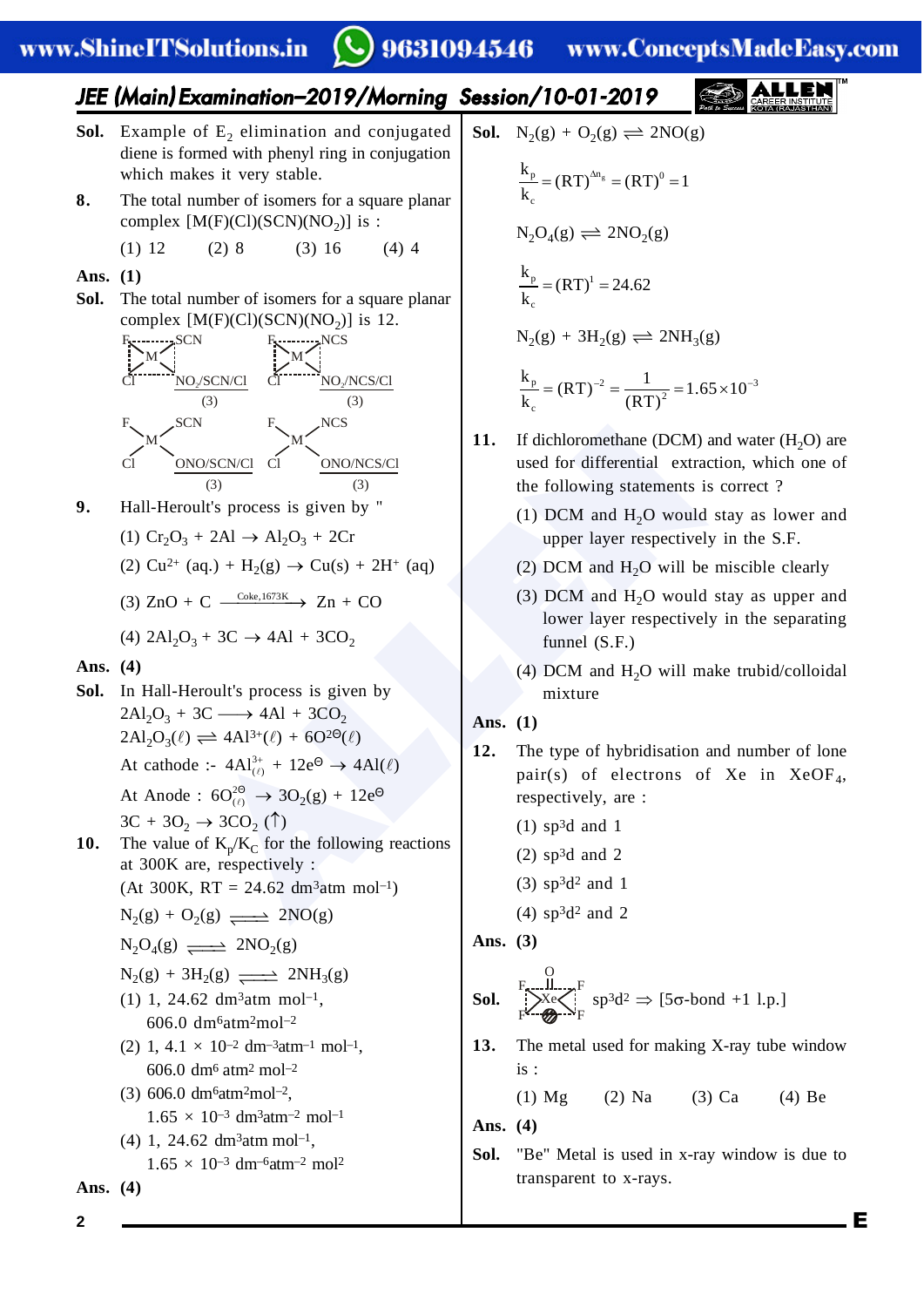### www.ShineITSolutions.in

### 9631094546

www.ConceptsMadeEasy.com

### JEE (Main ) Examination–2019/Morning Session/10-01-2019

- Sol. Example of E<sub>2</sub> elimination and conjugated diene is formed with phenyl ring in conjugation which makes it very stable.
- **8.** The total number of isomers for a square planar complex  $[M(F)(Cl)(SCN)(NO<sub>2</sub>)]$  is :
	- (1) 12 (2) 8 (3) 16 (4) 4
- **Ans. (1)**
- **Sol.** The total number of isomers for a square planar complex  $[M(F)(Cl)(SCN)(NO<sub>2</sub>)]$  is 12.



- **9.** Hall-Heroult's process is given by "
	- (1)  $Cr_2O_3 + 2Al \rightarrow Al_2O_3 + 2Cr$
	- (2)  $Cu^{2+}$  (aq.) + H<sub>2</sub>(g)  $\rightarrow Cu(s) + 2H^{+}$  (aq)
	- (3)  $ZnO + C \xrightarrow{Coke, 1673K} Zn + CO$
	- (4)  $2Al_2O_3 + 3C \rightarrow 4Al + 3CO_2$
- **Ans. (4)**
- EN NOSCRICI CI<br>
NOSCRICI CI<br>
NOSCRICI (3)<br>
(3)<br>
(3)<br>
(4) DCM and H<sub>2</sub>O would stay<br>  $+ 2A1 \rightarrow A1_2O_3 + 2Cr$ <br>  $+ C \xrightarrow{Cabc,1673K} \rightarrow Zn + CO$ <br>  $\rightarrow A2A1 + 3CO_2$ <br>
Heroult's process is given by<br>  $+ 3C \rightarrow 4A1 + 3CO_2$ <br>
Heroult's process is giv **Sol.** In Hall-Heroult's process is given by  $2Al_2O_3 + 3C \longrightarrow 4Al + 3CO_2$  $2\text{Al}_2\text{O}_3(\ell) \rightleftharpoons 4\text{Al}^{3+}(\ell) + 6\text{O}^{2\Theta}(\ell)$ At cathode :-  $4Al_{(\ell)}^{3+} + 12e^{\Theta} \rightarrow 4Al(\ell)$ At Anode :  $6O_{(l)}^{2\Theta} \rightarrow 3O_2(g) + 12e^{\Theta}$ 
	- $3C + 3O_2 \rightarrow 3CO_2$  (1)
- **10.** The value of  $K_p/K_C$  for the following reactions at 300K are, respectively :
	- $(At 300K, RT = 24.62 dm<sup>3</sup> atm mol<sup>-1</sup>)$  $N_2(g) + O_2(g) \longrightarrow 2NO(g)$

$$
N_2O_4(g) \xrightarrow{\longrightarrow} 2NO_2(g)
$$

- $N_2(g) + 3H_2(g) \longrightarrow 2NH_3(g)$
- $(1)$  1, 24.62 dm<sup>3</sup>atm mol<sup>-1</sup>, 606.0 dm <sup>6</sup>atm <sup>2</sup>mol–2
- (2) 1, 4.1  $\times$  10<sup>-2</sup> dm<sup>-3</sup>atm<sup>-1</sup> mol<sup>-1</sup>, 606.0 dm<sup>6</sup> atm<sup>2</sup> mol<sup>-2</sup>
- (3) 606.0 dm <sup>6</sup>atm <sup>2</sup>mol–2 ,  $1.65 \times 10^{-3}$  dm<sup>3</sup>atm<sup>-2</sup> mol<sup>-1</sup>

(4) 1, 24.62 dm <sup>3</sup>atm mol–1 , 1.65 × 10–3 dm–6atm–2 mol 2

**Ans. (4)**

**Sol.** 
$$
N_2(g) + O_2(g) \rightleftharpoons 2NO(g)
$$

$$
\frac{k_p}{k_c} = (RT)^{\Delta n_g} = (RT)^0 = 1
$$
  
\n
$$
N_2O_4(g) \rightleftharpoons 2NO_2(g)
$$
  
\n
$$
\frac{k_p}{k_c} = (RT)^1 = 24.62
$$
  
\n
$$
N_2(g) + 3H_2(g) \rightleftharpoons 2NH_3(g)
$$

$$
\frac{k_{p}}{k_{c}} = (RT)^{-2} = \frac{1}{(RT)^{2}} = 1.65 \times 10^{-3}
$$

- **11.** If dichloromethane (DCM) and water  $(H_2O)$  are used for differential extraction, which one of the following statements is correct ?
	- (1) DCM and  $H_2O$  would stay as lower and upper layer respectively in the S.F.
	- (2) DCM and  $H_2O$  will be miscible clearly
	- (3) DCM and  $H_2O$  would stay as upper and lower layer respectively in the separating funnel (S.F.)
	- (4) DCM and  $H_2O$  will make trubid/colloidal mixture
- **Ans. (1)**
- **12.** The type of hybridisation and number of lone pair(s) of electrons of Xe in XeOF<sub>4</sub>, respectively, are :
	- $(1)$  sp<sup>3</sup>d and 1
	- (2) sp <sup>3</sup>d and 2
	- $(3)$  sp<sup>3</sup>d<sup>2</sup> and 1
	- $(4)$  sp<sup>3</sup>d<sup>2</sup> and 2

**Ans. (3)**

**Sol.** 
$$
\sum_{F}^{F} \frac{\prod_{r=1}^{N} F}{\sum_{r=1}^{N} F} \text{sp}^3 \text{d}^2 \Rightarrow [5\sigma\text{-bond } +1 \text{ l.p.}]
$$

**13.** The metal used for making X-ray tube window is :

(1) Mg (2) Na (3) Ca (4) Be

**Ans. (4)**

**Sol.** "Be" Metal is used in x-ray window is due to transparent to x-rays.

E

**2**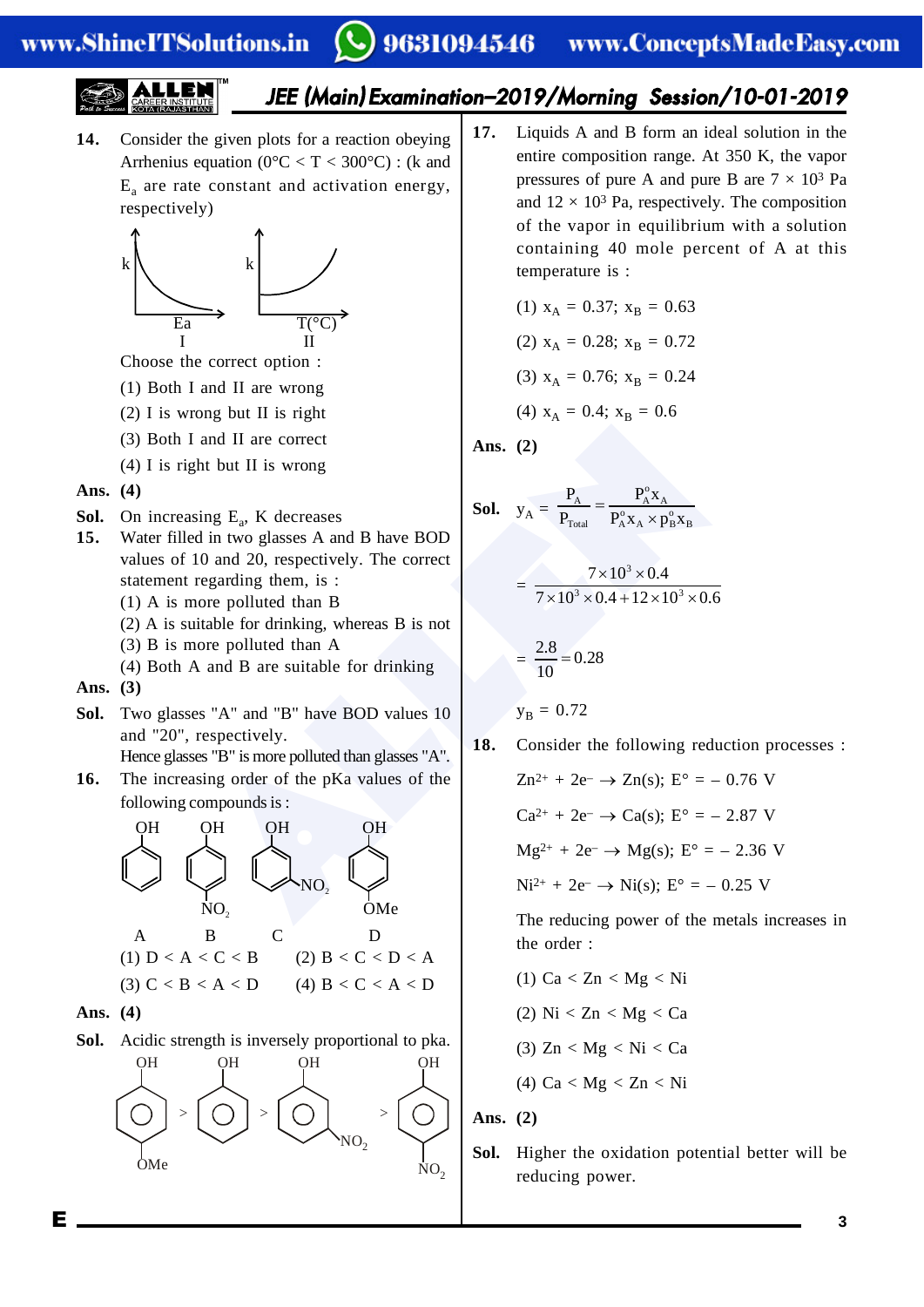$$
\underbrace{\text{ALLE}}_{\text{Post to Stectors}} \underbrace{\text{ALLE}}_{\text{RARER INSTITURE}}^{\text{IM}}
$$

### JEE (Main ) Examination–2019/Morning Session/10-01-2019

**14.** Consider the given plots for a reaction obeying Arrhenius equation ( $0^{\circ}$ C < T < 300 $^{\circ}$ C) : (k and  $E_a$  are rate constant and activation energy, respectively)



Choose the correct option :

- (1) Both I and II are wrong
- (2) I is wrong but II is right
- (3) Both I and II are correct
- (4) I is right but II is wrong

#### **Ans. (4)**

- **Sol.** On increasing  $E_a$ , K decreases
- **15.** Water filled in two glasses A and B have BOD values of 10 and 20, respectively. The correct statement regarding them, is :
	- (1) A is more polluted than B
	- (2) A is suitable for drinking, whereas B is not
	- (3) B is more polluted than A
	- (4) Both A and B are suitable for drinking
- **Ans. (3)**
- **Sol.** Two glasses "A" and "B" have BOD values 10 and "20", respectively.
	- Hence glasses "B" is more polluted than glasses "A".
- **16.** The increasing order of the pKa values of the following compounds is :



**Ans. (4)**

**Sol.** Acidic strength is inversely proportional to pka.



**17.** Liquids A and B form an ideal solution in the entire composition range. At 350 K, the vapor pressures of pure A and pure B are  $7 \times 10^3$  Pa and  $12 \times 10^3$  Pa, respectively. The composition of the vapor in equilibrium with a solution containing 40 mole percent of A at this temperature is :

(1) 
$$
x_A = 0.37; x_B = 0.63
$$
  
\n(2)  $x_A = 0.28; x_B = 0.72$   
\n(3)  $x_A = 0.76; x_B = 0.24$   
\n(4)  $x_A = 0.4; x_B = 0.6$ 

**Ans. (2)**

**Sol.** 
$$
y_A = \frac{P_A}{P_{\text{Total}}} = \frac{P_A^{\circ} x_A}{P_A^{\circ} x_A \times p_B^{\circ} x_B}
$$

$$
= \frac{7 \times 10^3 \times 0.4}{7 \times 10^3 \times 0.4 + 12 \times 10^3 \times 0.6}
$$

$$
=\frac{2.8}{10}=0.28
$$

 $y_B = 0.72$ 

**18.** Consider the following reduction processes :

I and II are correct  
\nI that III is wrong  
\nsing E<sub>a</sub>, K decreases  
\ned in two glasses A and B have BOD  
\n10 and 20, respectively. The correct  
\nregarding them, is :  
\nmore polluted than B  
\nA and B are suitable for drinking, whereas B is not  
\nmore polluted than A  
\nA and B are suitable for drinking  
\nsing order of the pKa values of the  
\ncompounds is :  
\nOH  
\ncompounds is :  
\n
$$
= \frac{7 \times 10^{3} \times 0.4}{7 \times 10^{3} \times 0.4 + 12 \times 10^{3} \times 0.6}
$$
\n
$$
= \frac{7 \times 10^{3} \times 0.4}{7 \times 10^{3} \times 0.4 + 12 \times 10^{3} \times 0.6}
$$
\n
$$
= \frac{2.8}{10} = 0.28
$$
\n
$$
y_B = 0.72
$$
\nrespectively.  
\n18. Consider the following reduction pro  
\nZn<sup>2+</sup> + 2e^-  $\rightarrow$  Zn(s); E° = -0.76 V  
\ncompounds is :  
\n
$$
Ca^{2+} + 2e^- \rightarrow Ca(s); E° = -2.87 V  
\nMg<sup>2+</sup> + 2e^- \rightarrow Mg(s); E° = -2.36 V  
\nMg<sup>2+</sup> + 2e^- \rightarrow Mig(s); E° = -0.25 V  
\nMg<sup>2+</sup> + 2e^- \rightarrow Mig(s); E° = -0.25 V  
\nThe reducing power of the metals inc
$$

The reducing power of the metals increases in the order :

\n- (1) 
$$
Ca < Zn < Mg < Ni
$$
\n- (2)  $Ni < Zn < Mg < Ca$
\n- (3)  $Zn < Mg < Ni < Ca$
\n- (4)  $Ca < Mg < Zn < Ni$
\n

**Ans. (2)**

**Sol.** Higher the oxidation potential better will be reducing power.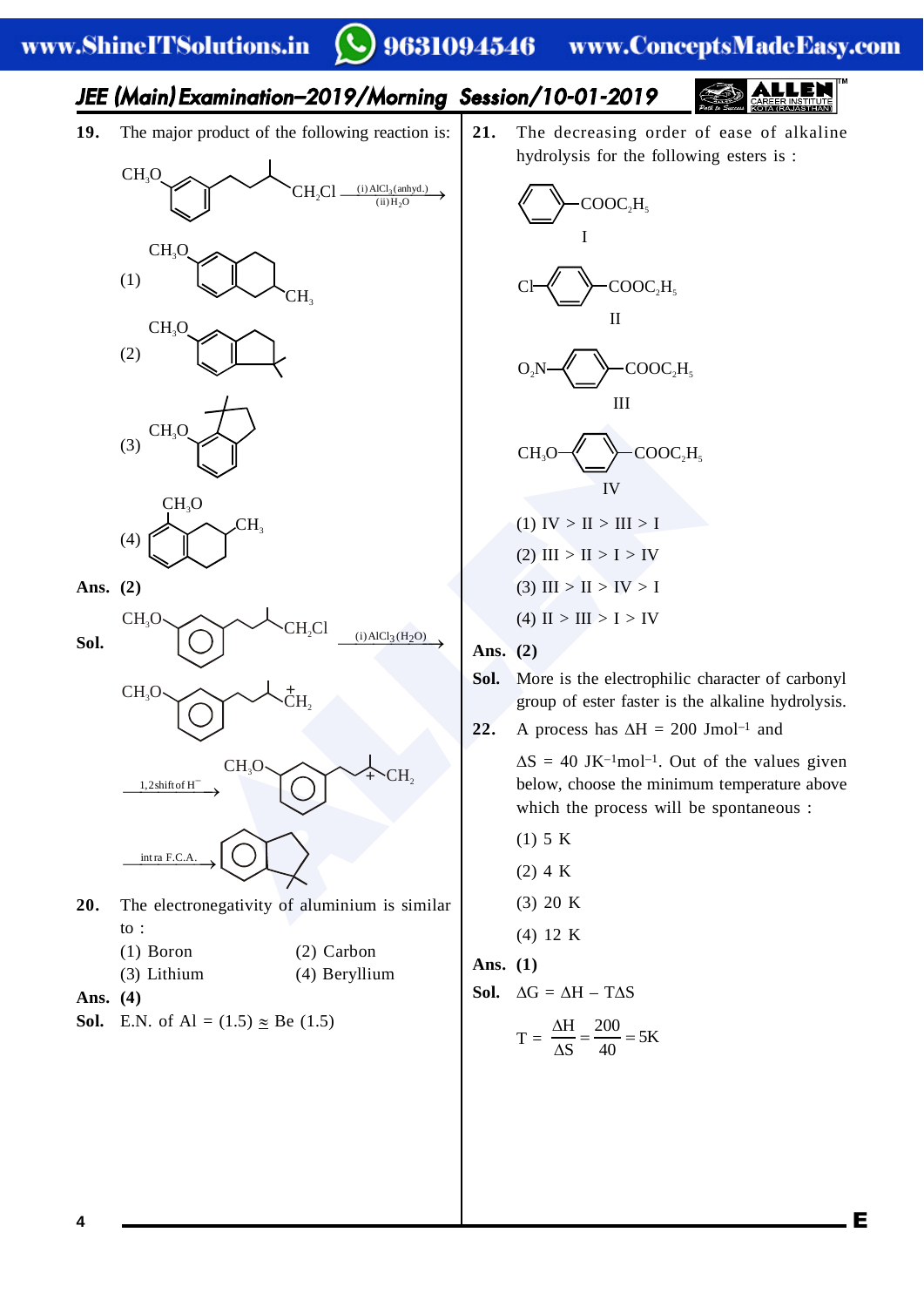### 9631094546 www.ConceptsMadeEasy.com

# JEE (Main ) Examination–2019/Morning Session/10-01-2019

**19.** The major product of the following reaction is:





**Ans. (2)**





- **20.** The electronegativity of aluminium is similar to :
	- (1) Boron (2) Carbon
	- (3) Lithium (4) Beryllium
- **Ans. (4)**
- **Sol.** E.N. of Al =  $(1.5) \approx$  Be  $(1.5)$

**21.** The decreasing order of ease of alkaline hydrolysis for the following esters is :



### **Ans. (2)**

**Sol.** More is the electrophilic character of carbonyl group of ester faster is the alkaline hydrolysis.

22. A process has  $\Delta H = 200$  Jmol<sup>-1</sup> and

 $\Delta S = 40$  JK<sup>-1</sup>mol<sup>-1</sup>. Out of the values given below, choose the minimum temperature above which the process will be spontaneous :

E

(1) 5 K (2) 4 K (3) 20 K (4) 12 K **Ans. (1) Sol.**  $\Delta G = \Delta H - T \Delta S$  $T = \frac{\Delta H}{4S} = \frac{200}{40} = 5K$  $\frac{\Delta H}{\Delta t} = \frac{200}{4.0} = 5$ 

 $\Delta$ 

S 40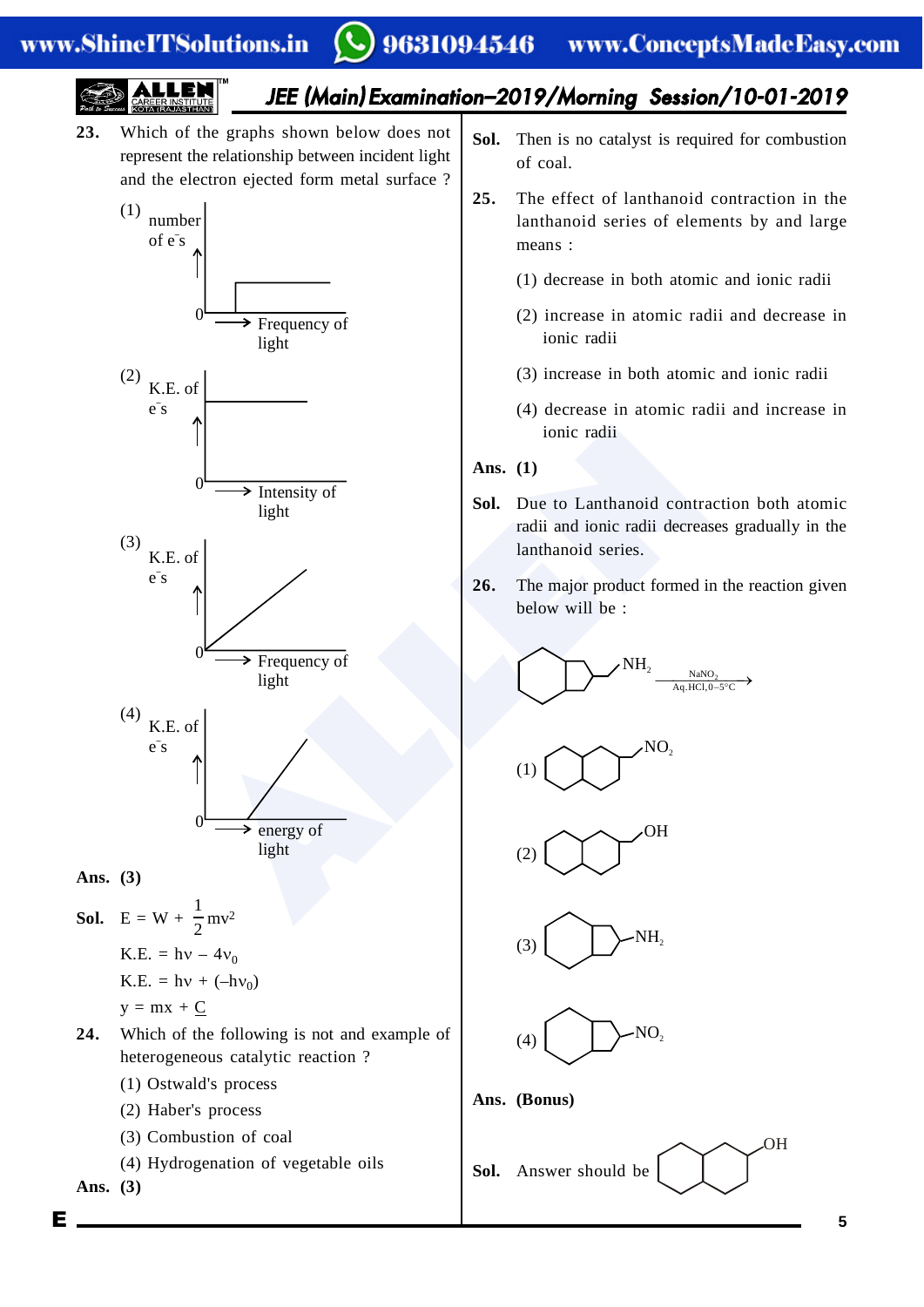### www.ShineITSolutions.in

Е

#### 9631094546 www.ConceptsMadeEasy.com

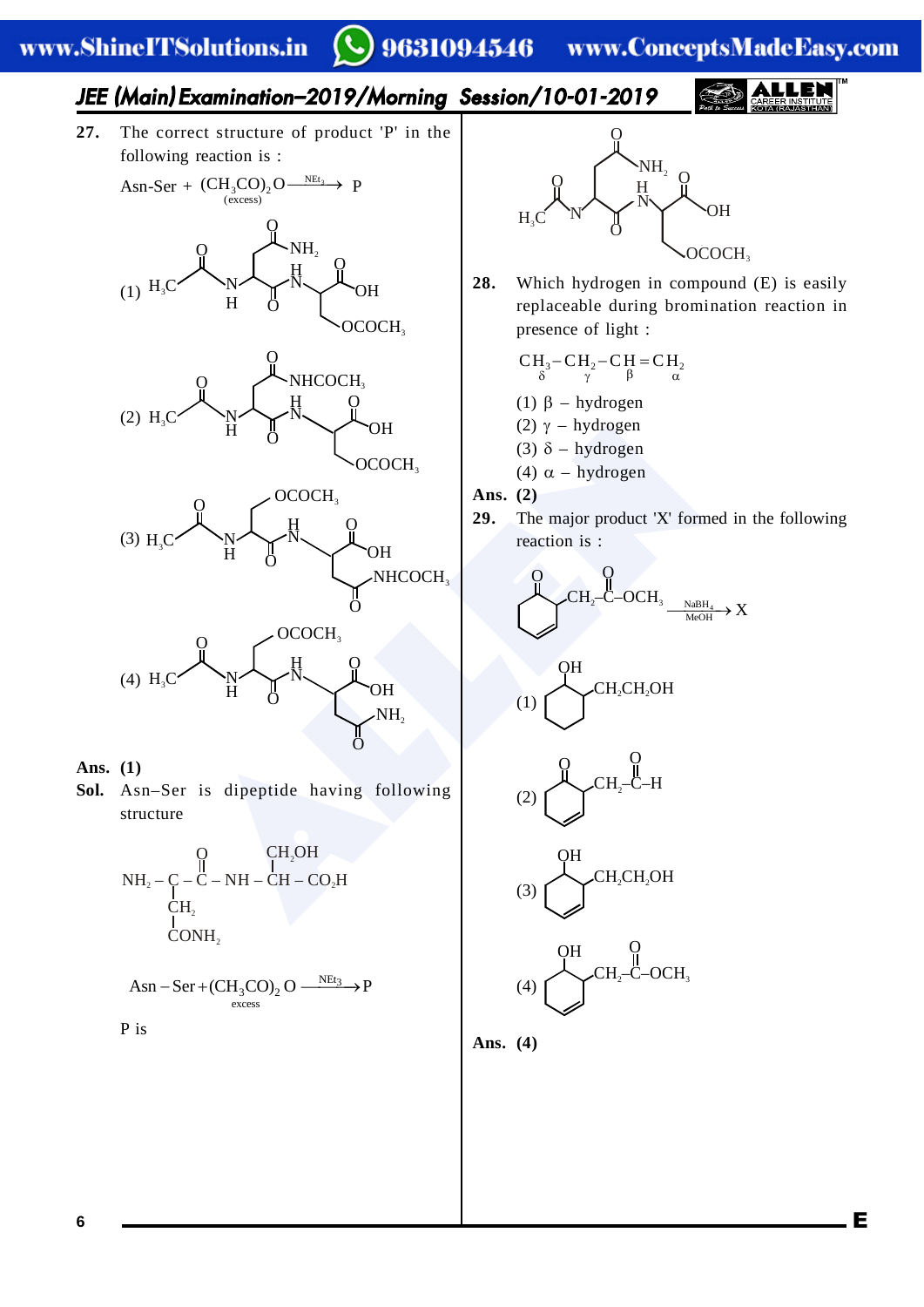# 9631094546

www.ConceptsMadeEasy.com

### JEE (Main ) Examination–2019/Morning Session/10-01-2019

**27.** The correct structure of product 'P' in the following reaction is :









**Sol.** Asn–Ser is dipeptide having following structure

O

O

NH 2



$$
Asn-Ser+(CH_3CO)_2 O \xrightarrow{\text{NEt}_3} P
$$

P is



**28.** Which hydrogen in compound (E) is easily replaceable during bromination reaction in presence of light :

$$
CH_3-CH_2-CH_2=CH_2
$$
  

$$
\beta = CH_2
$$

(1)  $\beta$  – hydrogen

- (2)  $γ$  hydrogen
- (3)  $\delta$  hydrogen
- (4)  $\alpha$  hydrogen

**Ans. (2)**

**29.** The major product 'X' formed in the following reaction is :

$$
\underbrace{ \overset{\text{\normalsize O}}{\hspace{-2.4em}} \text{\normalsize C}\text{-}\text{\normalsize O}\text{-}\text{\normalsize C}\text{-}\text{\normalsize O}\text{-}\text{\normalsize O}\text{-}\text{\normalsize N}\text{-}\text{\normalsize N}\text{-}\text{\normalsize N}\text{-}\text{\normalsize N}\text{-}\text{\normalsize N}\text{-}\text{\normalsize N}\text{-}\text{\normalsize N}\text{-}\text{\normalsize N}\text{-}\text{\normalsize N}\text{-}\text{\normalsize N}\text{-}\text{\normalsize N}\text{-}\text{\normalsize N}\text{-}\text{\normalsize N}\text{-}\text{\normalsize N}\text{-}\text{\normalsize N}\text{-}\text{\normalsize N}\text{-}\text{\normalsize N}\text{-}\text{\normalsize N}\text{-}\text{\normalsize N}\text{-}\text{\normalsize N}\text{-}\text{\normalsize N}\text{-}\text{\normalsize N}\text{-}\text{\normalsize N}\text{-}\text{\normalsize N}\text{-}\text{\normalsize N}\text{-}\text{\normalsize N}\text{-}\text{\normalsize N}\text{-}\text{\normalsize N}\text{-}\text{\normalsize N}\text{-}\text{\normalsize N}\text{-}\text{\normalsize N}\text{-}\text{\normalsize N}\text{-}\text{\normalsize N}\text{-}\text{\normalsize N}\text{-}\text{\normalsize N}\text{-}\text{\normalsize N}\text{-}\text{\normalsize N}\text{-}\text{\normalsize N}\text{-}\text{\normalsize N}\text{-}\text{\normalsize N}\text{-}\text{\normalsize N}\text{-}\text{\normalsize N}\text{-}\text{\normalsize N}\text{-}\text{\normalsize N}\text{-}\text{\normalsize N}\text{-}\text{\normalsize N}\text{-}\text{\normalsize N}\text{-}\text{\normalsize N}\text{-}\text{\normalsize N}\text{-}\text{\normalsize N}\text{-}\text{\normalsize N}\text{-}\text{\normalsize N}\text{-}\text{\normalsize N}\text{-}\text{-}\text{\normalsize N}\text{-}\text{\normalsize N}\text{-}\text{-}\text{\normalsize N}\text{-}\text{-}\text{\normalsize N}\text{-}\text{-}\text{\normalsize N}\text{-}\text{-}\text{\normalsize N}\text{-}\text{-}\text{\normalsize N}\text{-}\text{-}\text{\normalsize N}\text{-}\text{-}\text{\normalsize N}\text{-}\text{-}\text{\normalsize N}\text{-}\text{-}\text{-}\text{-}\text{-}\text{-}\text{-}\text{-}\text{-}\text{-}\text
$$

$$
(1)\stackrel{\text{OH}}{\underbrace{\hspace{-1.2cm}}\hspace{-0.2cm}} CH_2CH_2OH
$$

$$
(2)\underbrace{\bigodot}_{\text{CH}_2-C-H}^{Q}\underbrace{\bigcirc}_{H}
$$

$$
(3)\underbrace{\bigcup_{\text{CH}_2\text{CH}_2\text{OH}}^{\text{OH}}}
$$

$$
(4)\n\begin{array}{c}\n\text{OH} \\
\text{CH}_2\text{-C-OCH}_3\n\end{array}
$$

E

**Ans. (4)**